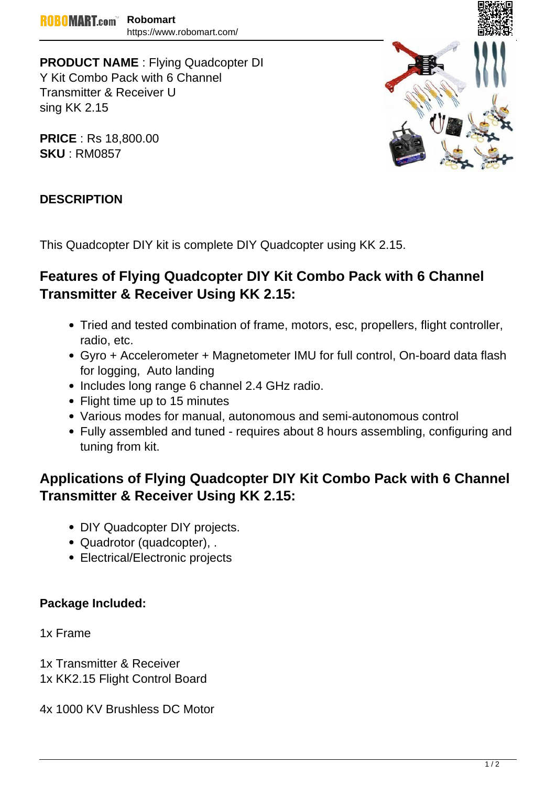**PRODUCT NAME** : Flying Quadcopter DI Y Kit Combo Pack with 6 Channel Transmitter & Receiver U sing KK 2.15

**PRICE** : Rs 18,800.00 **SKU** : RM0857



### **DESCRIPTION**

This Quadcopter DIY kit is complete DIY Quadcopter using KK 2.15.

## **Features of Flying Quadcopter DIY Kit Combo Pack with 6 Channel Transmitter & Receiver Using KK 2.15:**

- Tried and tested combination of frame, motors, esc, propellers, flight controller, radio, etc.
- Gyro + Accelerometer + Magnetometer IMU for full control, On-board data flash for logging, Auto landing
- Includes long range 6 channel 2.4 GHz radio.
- Flight time up to 15 minutes
- Various modes for manual, autonomous and semi-autonomous control
- Fully assembled and tuned requires about 8 hours assembling, configuring and tuning from kit.

# **Applications of Flying Quadcopter DIY Kit Combo Pack with 6 Channel Transmitter & Receiver Using KK 2.15:**

- DIY Quadcopter DIY projects.
- Quadrotor (quadcopter), .
- Electrical/Electronic projects

### **Package Included:**

1x Frame

1x Transmitter & Receiver 1x KK2.15 Flight Control Board

4x 1000 KV Brushless DC Motor